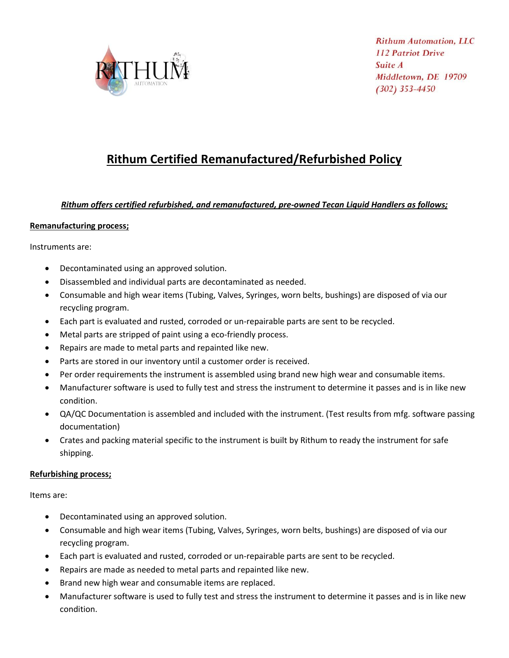

## **Rithum Certified Remanufactured/Refurbished Policy**

## *Rithum offers certified refurbished, and remanufactured, pre-owned Tecan Liquid Handlers as follows;*

## **Remanufacturing process;**

Instruments are:

- Decontaminated using an approved solution.
- Disassembled and individual parts are decontaminated as needed.
- Consumable and high wear items (Tubing, Valves, Syringes, worn belts, bushings) are disposed of via our recycling program.
- Each part is evaluated and rusted, corroded or un-repairable parts are sent to be recycled.
- Metal parts are stripped of paint using a eco-friendly process.
- Repairs are made to metal parts and repainted like new.
- Parts are stored in our inventory until a customer order is received.
- Per order requirements the instrument is assembled using brand new high wear and consumable items.
- Manufacturer software is used to fully test and stress the instrument to determine it passes and is in like new condition.
- QA/QC Documentation is assembled and included with the instrument. (Test results from mfg. software passing documentation)
- Crates and packing material specific to the instrument is built by Rithum to ready the instrument for safe shipping.

## **Refurbishing process;**

Items are:

- Decontaminated using an approved solution.
- Consumable and high wear items (Tubing, Valves, Syringes, worn belts, bushings) are disposed of via our recycling program.
- Each part is evaluated and rusted, corroded or un-repairable parts are sent to be recycled.
- Repairs are made as needed to metal parts and repainted like new.
- Brand new high wear and consumable items are replaced.
- Manufacturer software is used to fully test and stress the instrument to determine it passes and is in like new condition.